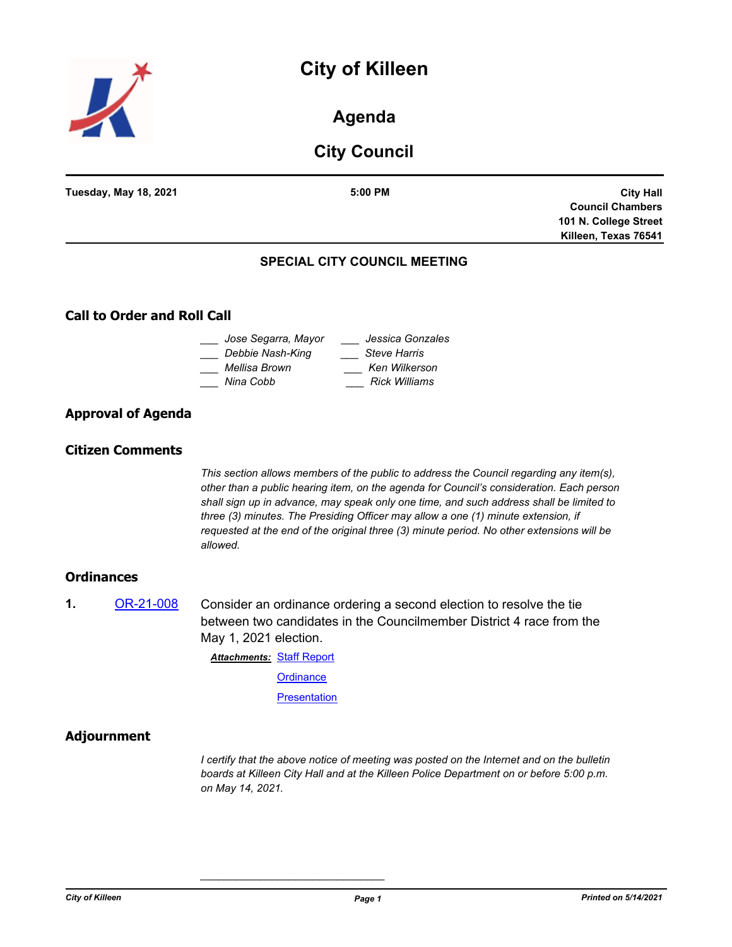# **City of Killeen**



# **Agenda**

# **City Council**

| $5:00$ PM | <b>City Hall</b>                    |
|-----------|-------------------------------------|
|           | <b>Council Chambers</b>             |
|           | 101 N. College Street               |
|           | Killeen, Texas 76541                |
|           |                                     |
|           | <b>SPECIAL CITY COUNCIL MEETING</b> |

# **Call to Order and Roll Call**

| Jose Segarra, Mayor | Jessica Gonzales     |
|---------------------|----------------------|
| Debbie Nash-King    | <b>Steve Harris</b>  |
| Mellisa Brown       | Ken Wilkerson        |
| Nina Cobb           | <b>Rick Williams</b> |

## **Approval of Agenda**

## **Citizen Comments**

*This section allows members of the public to address the Council regarding any item(s), other than a public hearing item, on the agenda for Council's consideration. Each person shall sign up in advance, may speak only one time, and such address shall be limited to three (3) minutes. The Presiding Officer may allow a one (1) minute extension, if requested at the end of the original three (3) minute period. No other extensions will be allowed.*

## **Ordinances**

**1.** [OR-21-008](http://killeen.legistar.com/gateway.aspx?m=l&id=/matter.aspx?key=5486) Consider an ordinance ordering a second election to resolve the tie between two candidates in the Councilmember District 4 race from the May 1, 2021 election.

> **Attachments: [Staff Report](http://killeen.legistar.com/gateway.aspx?M=F&ID=8936ac5a-3d77-4a00-a996-0331a19230b0.pdf) [Ordinance](http://killeen.legistar.com/gateway.aspx?M=F&ID=ba47cf85-f2a2-4c4f-8d60-6ef1adb4d9b0.pdf) [Presentation](http://killeen.legistar.com/gateway.aspx?M=F&ID=5b52fe8b-e7af-4e42-b395-415034012ee1.pdf)**

*\_\_\_\_\_\_\_\_\_\_\_\_\_\_\_\_\_\_\_\_\_\_\_\_\_\_\_\_\_\_\_*

## **Adjournment**

*I certify that the above notice of meeting was posted on the Internet and on the bulletin boards at Killeen City Hall and at the Killeen Police Department on or before 5:00 p.m. on May 14, 2021.*